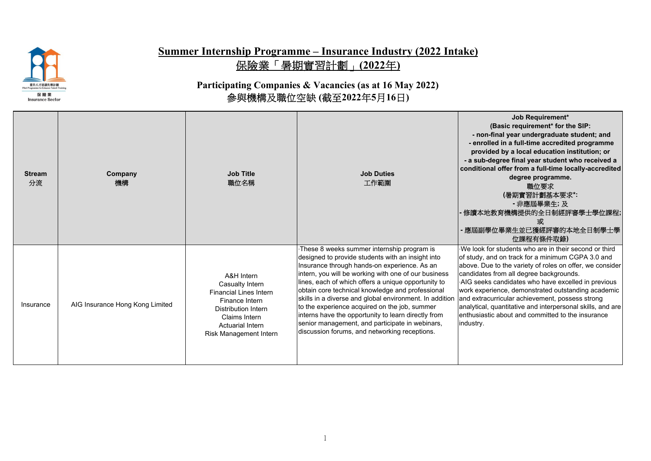

## **Summer Internship Programme – Insurance Industry (2022 Intake)** 保險業「暑期實習計劃」**(2022**年**)**

**Participating Companies & Vacancies (as at 16 May 2022)** 參與機構及職位空缺 **(**截至**2022**年**5**月**16**日**)**

| <b>Stream</b><br>分流 | Company<br>機構                   | <b>Job Title</b><br>職位名稱                                                                                                                                                             | <b>Job Duties</b><br>工作範圍                                                                                                                                                                                                                                                                                                                                                                                                                                                                                                                                                                 | Job Requirement*<br>(Basic requirement* for the SIP:<br>- non-final year undergraduate student; and<br>- enrolled in a full-time accredited programme<br>provided by a local education institution; or<br>- a sub-degree final year student who received a<br>conditional offer from a full-time locally-accredited<br>degree programme.<br>職位要求<br>(暑期實習計劃基本要求*:<br>- 非應屆畢業生; 及<br>修讀本地教育機構提供的全日制經評審學士學位課程;<br>或<br>應屆副學位畢業生並已獲經評審的本地全日制學士學<br>位課程有條件取錄)                                                        |
|---------------------|---------------------------------|--------------------------------------------------------------------------------------------------------------------------------------------------------------------------------------|-------------------------------------------------------------------------------------------------------------------------------------------------------------------------------------------------------------------------------------------------------------------------------------------------------------------------------------------------------------------------------------------------------------------------------------------------------------------------------------------------------------------------------------------------------------------------------------------|------------------------------------------------------------------------------------------------------------------------------------------------------------------------------------------------------------------------------------------------------------------------------------------------------------------------------------------------------------------------------------------------------------------------------------------------------------------------------------------------------------------|
| Insurance           | AIG Insurance Hong Kong Limited | A&H Intern<br>Casualty Intern<br><b>Financial Lines Intern</b><br>Finance Intern<br><b>Distribution Intern</b><br>Claims Intern<br><b>Actuarial Intern</b><br>Risk Management Intern | These 8 weeks summer internship program is<br>designed to provide students with an insight into<br>Insurance through hands-on experience. As an<br>intern, you will be working with one of our business<br>lines, each of which offers a unique opportunity to<br>obtain core technical knowledge and professional<br>skills in a diverse and global environment. In addition<br>to the experience acquired on the job, summer<br>interns have the opportunity to learn directly from<br>senior management, and participate in webinars,<br>discussion forums, and networking receptions. | We look for students who are in their second or third<br>of study, and on track for a minimum CGPA 3.0 and<br>above. Due to the variety of roles on offer, we consider<br>candidates from all degree backgrounds.<br>AIG seeks candidates who have excelled in previous<br>work experience, demonstrated outstanding academic<br>and extracurricular achievement, possess strong<br>analytical, quantitative and interpersonal skills, and are<br>enthusiastic about and committed to the insurance<br>industry. |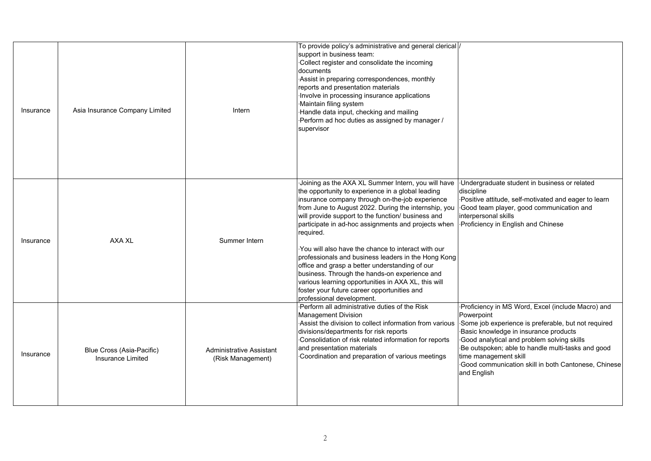| Insurance | Asia Insurance Company Limited                 | Intern                                        | To provide policy's administrative and general clerical  /<br>support in business team:<br>Collect register and consolidate the incoming<br>documents<br>Assist in preparing correspondences, monthly<br>reports and presentation materials<br>Involve in processing insurance applications<br>Maintain filing system<br>·Handle data input, checking and mailing<br>Perform ad hoc duties as assigned by manager /<br>supervisor                                                                                                                                                                                                                                                               |                                                                                                                                                                                                                                                                                                                                                                    |
|-----------|------------------------------------------------|-----------------------------------------------|-------------------------------------------------------------------------------------------------------------------------------------------------------------------------------------------------------------------------------------------------------------------------------------------------------------------------------------------------------------------------------------------------------------------------------------------------------------------------------------------------------------------------------------------------------------------------------------------------------------------------------------------------------------------------------------------------|--------------------------------------------------------------------------------------------------------------------------------------------------------------------------------------------------------------------------------------------------------------------------------------------------------------------------------------------------------------------|
| Insurance | AXA XL                                         | Summer Intern                                 | Joining as the AXA XL Summer Intern, you will have<br>the opportunity to experience in a global leading<br>insurance company through on-the-job experience<br>from June to August 2022. During the internship, you<br>will provide support to the function/ business and<br>participate in ad-hoc assignments and projects when<br>required.<br>You will also have the chance to interact with our<br>professionals and business leaders in the Hong Kong<br>office and grasp a better understanding of our<br>business. Through the hands-on experience and<br>various learning opportunities in AXA XL, this will<br>foster your future career opportunities and<br>professional development. | Undergraduate student in business or related<br>discipline<br>Positive attitude, self-motivated and eager to learn<br>Good team player, good communication and<br>interpersonal skills<br>Proficiency in English and Chinese                                                                                                                                       |
| Insurance | Blue Cross (Asia-Pacific)<br>Insurance Limited | Administrative Assistant<br>(Risk Management) | Perform all administrative duties of the Risk<br><b>Management Division</b><br>Assist the division to collect information from various<br>divisions/departments for risk reports<br>Consolidation of risk related information for reports<br>and presentation materials<br>Coordination and preparation of various meetings                                                                                                                                                                                                                                                                                                                                                                     | Proficiency in MS Word, Excel (include Macro) and<br>Powerpoint<br>Some job experience is preferable, but not required<br>Basic knowledge in insurance products<br>Good analytical and problem solving skills<br>·Be outspoken; able to handle multi-tasks and good<br>time management skill<br>Good communication skill in both Cantonese, Chinese<br>and English |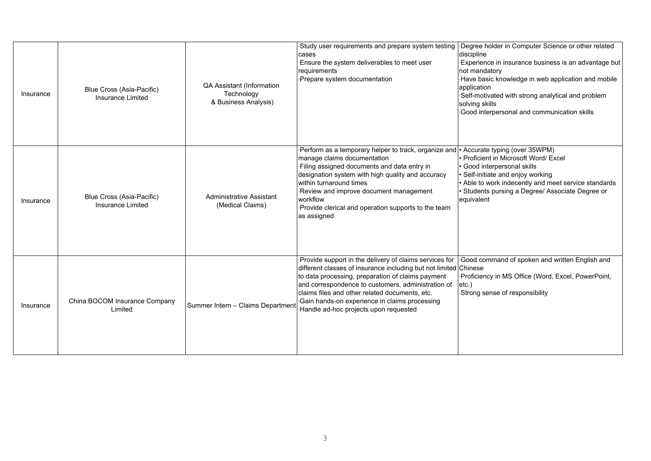| Insurance | Blue Cross (Asia-Pacific)<br>Insurance Limited | QA Assistant (Information<br>Technology<br>& Business Analysis) | Study user requirements and prepare system testing<br>cases<br>Ensure the system deliverables to meet user<br>requirements<br>Prepare system documentation                                                                                                                                                                                                                        | Degree holder in Computer Science or other related<br>discipline<br>Experience in insurance business is an advantage but<br>not mandatory<br>Have basic knowledge in web application and mobile<br>application<br>Self-motivated with strong analytical and problem<br>solving skills<br>Good interpersonal and communication skills |
|-----------|------------------------------------------------|-----------------------------------------------------------------|-----------------------------------------------------------------------------------------------------------------------------------------------------------------------------------------------------------------------------------------------------------------------------------------------------------------------------------------------------------------------------------|--------------------------------------------------------------------------------------------------------------------------------------------------------------------------------------------------------------------------------------------------------------------------------------------------------------------------------------|
| Insurance | Blue Cross (Asia-Pacific)<br>Insurance Limited | <b>Administrative Assistant</b><br>(Medical Claims)             | Perform as a temporary helper to track, organize and • Accurate typing (over 35WPM)<br>manage claims documentation<br>Filing assigned documents and data entry in<br>designation system with high quality and accuracy<br>within turnaround times<br>Review and improve document management<br>workflow<br>Provide clerical and operation supports to the team<br>as assigned     | Proficient in Microsoft Word/ Excel<br>Good interpersonal skills<br>Self-initiate and enjoy working<br>Able to work indecently and meet service standards<br>Students pursing a Degree/ Associate Degree or<br>equivalent                                                                                                            |
| Insurance | China BOCOM Insurance Company<br>Limited       | Summer Intern - Claims Departmen                                | Provide support in the delivery of claims services for<br>different classes of insurance including but not limited Chinese<br>to data processing, preparation of claims payment<br>and correspondence to customers, administration of<br>claims files and other related documents, etc.<br>Gain hands-on experience in claims processing<br>Handle ad-hoc projects upon requested | Good command of spoken and written English and<br>Proficiency in MS Office (Word, Excel, PowerPoint,<br>$etc.$ )<br>Strong sense of responsibility                                                                                                                                                                                   |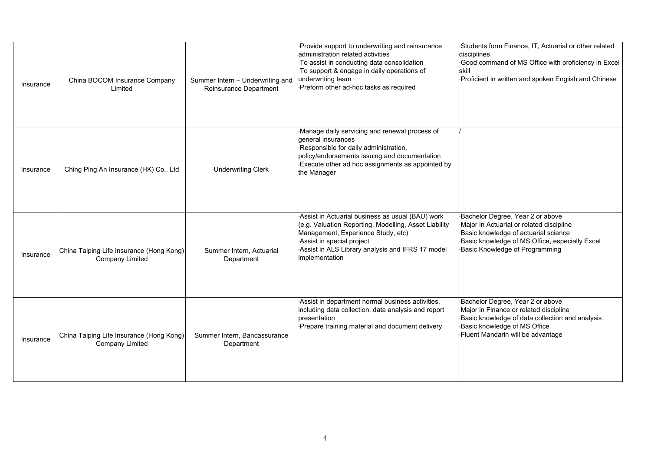| Insurance | China BOCOM Insurance Company<br>Limited                           | Summer Intern - Underwriting and<br>Reinsurance Department | Provide support to underwriting and reinsurance<br>administration related activities<br>To assist in conducting data consolidation<br>To support & engage in daily operations of<br>underwriting team<br>Preform other ad-hoc tasks as required    | Students form Finance, IT, Actuarial or other related<br>disciplines<br>Good command of MS Office with proficiency in Excel<br>skill<br>Proficient in written and spoken English and Chinese             |
|-----------|--------------------------------------------------------------------|------------------------------------------------------------|----------------------------------------------------------------------------------------------------------------------------------------------------------------------------------------------------------------------------------------------------|----------------------------------------------------------------------------------------------------------------------------------------------------------------------------------------------------------|
| Insurance | Ching Ping An Insurance (HK) Co., Ltd                              | <b>Underwriting Clerk</b>                                  | Manage daily servicing and renewal process of<br>general insurances<br>Responsible for daily administration,<br>policy/endorsements issuing and documentation<br>Execute other ad hoc assignments as appointed by<br>the Manager                   |                                                                                                                                                                                                          |
| Insurance | China Taiping Life Insurance (Hong Kong)<br><b>Company Limited</b> | Summer Intern, Actuarial<br>Department                     | Assist in Actuarial business as usual (BAU) work<br>(e.g. Valuation Reporting, Modelling, Asset Liability<br>Management, Experience Study, etc)<br>Assist in special project<br>Assist in ALS Library analysis and IFRS 17 model<br>implementation | Bachelor Degree, Year 2 or above<br>Major in Actuarial or related discipline<br>Basic knowledge of actuarial science<br>Basic knowledge of MS Office, especially Excel<br>Basic Knowledge of Programming |
| Insurance | China Taiping Life Insurance (Hong Kong)<br><b>Company Limited</b> | Summer Intern, Bancassurance<br>Department                 | Assist in department normal business activities,<br>including data collection, data analysis and report<br>presentation<br>Prepare training material and document delivery                                                                         | Bachelor Degree, Year 2 or above<br>Major in Finance or related discipline<br>Basic knowledge of data collection and analysis<br>Basic knowledge of MS Office<br>Fluent Mandarin will be advantage       |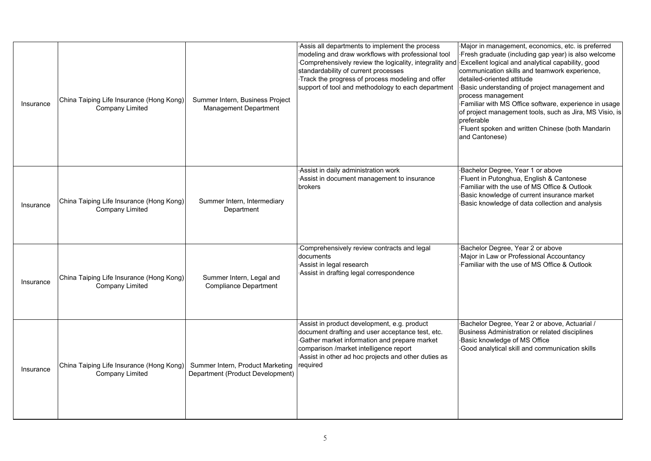| Insurance | China Taiping Life Insurance (Hong Kong)<br>Company Limited | Summer Intern, Business Project<br>Management Department             | Assis all departments to implement the process<br>modeling and draw workflows with professional tool<br>Comprehensively review the logicality, integrality and<br>standardability of current processes<br>Track the progress of process modeling and offer<br>support of tool and methodology to each department | Major in management, economics, etc. is preferred<br>Fresh graduate (including gap year) is also welcome<br>Excellent logical and analytical capability, good<br>communication skills and teamwork experience,<br>detailed-oriented attitude<br>Basic understanding of project management and<br>process management<br>Familiar with MS Office software, experience in usage<br>of project management tools, such as Jira, MS Visio, is<br>preferable<br>·Fluent spoken and written Chinese (both Mandarin<br>and Cantonese) |
|-----------|-------------------------------------------------------------|----------------------------------------------------------------------|------------------------------------------------------------------------------------------------------------------------------------------------------------------------------------------------------------------------------------------------------------------------------------------------------------------|------------------------------------------------------------------------------------------------------------------------------------------------------------------------------------------------------------------------------------------------------------------------------------------------------------------------------------------------------------------------------------------------------------------------------------------------------------------------------------------------------------------------------|
| Insurance | China Taiping Life Insurance (Hong Kong)<br>Company Limited | Summer Intern, Intermediary<br>Department                            | Assist in daily administration work<br>Assist in document management to insurance<br>brokers                                                                                                                                                                                                                     | Bachelor Degree, Year 1 or above<br>Fluent in Putonghua, English & Cantonese<br>Familiar with the use of MS Office & Outlook<br>Basic knowledge of current insurance market<br>Basic knowledge of data collection and analysis                                                                                                                                                                                                                                                                                               |
| Insurance | China Taiping Life Insurance (Hong Kong)<br>Company Limited | Summer Intern, Legal and<br><b>Compliance Department</b>             | Comprehensively review contracts and legal<br>documents<br>Assist in legal research<br>Assist in drafting legal correspondence                                                                                                                                                                                   | Bachelor Degree, Year 2 or above<br>Major in Law or Professional Accountancy<br>Familiar with the use of MS Office & Outlook                                                                                                                                                                                                                                                                                                                                                                                                 |
| Insurance | China Taiping Life Insurance (Hong Kong)<br>Company Limited | Summer Intern, Product Marketing<br>Department (Product Development) | Assist in product development, e.g. product<br>document drafting and user acceptance test, etc.<br>Gather market information and prepare market<br>comparison /market intelligence report<br>Assist in other ad hoc projects and other duties as<br>required                                                     | ·Bachelor Degree, Year 2 or above, Actuarial /<br>Business Administration or related disciplines<br>Basic knowledge of MS Office<br>Good analytical skill and communication skills                                                                                                                                                                                                                                                                                                                                           |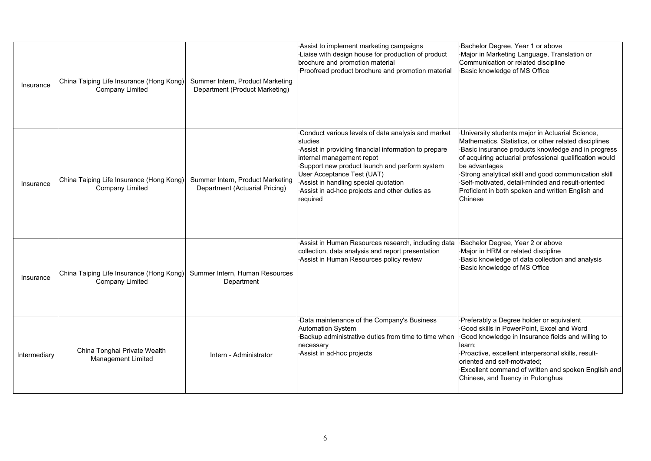| Insurance    | China Taiping Life Insurance (Hong Kong)<br><b>Company Limited</b> | Summer Intern, Product Marketing<br>Department (Product Marketing) | Assist to implement marketing campaigns<br>Liaise with design house for production of product<br>brochure and promotion material<br>Proofread product brochure and promotion material                                                                                                                                                  | Bachelor Degree, Year 1 or above<br>Major in Marketing Language, Translation or<br>Communication or related discipline<br>Basic knowledge of MS Office                                                                                                                                                                                                                                                                  |
|--------------|--------------------------------------------------------------------|--------------------------------------------------------------------|----------------------------------------------------------------------------------------------------------------------------------------------------------------------------------------------------------------------------------------------------------------------------------------------------------------------------------------|-------------------------------------------------------------------------------------------------------------------------------------------------------------------------------------------------------------------------------------------------------------------------------------------------------------------------------------------------------------------------------------------------------------------------|
| Insurance    | China Taiping Life Insurance (Hong Kong)<br><b>Company Limited</b> | Summer Intern, Product Marketing<br>Department (Actuarial Pricing) | Conduct various levels of data analysis and market<br>studies<br>Assist in providing financial information to prepare<br>internal management repot<br>Support new product launch and perform system<br>User Acceptance Test (UAT)<br>Assist in handling special quotation<br>Assist in ad-hoc projects and other duties as<br>required | University students major in Actuarial Science,<br>Mathematics, Statistics, or other related disciplines<br>Basic insurance products knowledge and in progress<br>of acquiring actuarial professional qualification would<br>be advantages<br>Strong analytical skill and good communication skill<br>Self-motivated, detail-minded and result-oriented<br>Proficient in both spoken and written English and<br>Chinese |
| Insurance    | China Taiping Life Insurance (Hong Kong)<br><b>Company Limited</b> | Summer Intern, Human Resources<br>Department                       | Assist in Human Resources research, including data<br>collection, data analysis and report presentation<br>Assist in Human Resources policy review                                                                                                                                                                                     | Bachelor Degree, Year 2 or above<br>Major in HRM or related discipline<br>Basic knowledge of data collection and analysis<br>Basic knowledge of MS Office                                                                                                                                                                                                                                                               |
| Intermediary | China Tonghai Private Wealth<br><b>Management Limited</b>          | Intern - Administrator                                             | Data maintenance of the Company's Business<br><b>Automation System</b><br>Backup administrative duties from time to time when<br>necessary<br>Assist in ad-hoc projects                                                                                                                                                                | Preferably a Degree holder or equivalent<br>Good skills in PowerPoint, Excel and Word<br>Good knowledge in Insurance fields and willing to<br>learn;<br>Proactive, excellent interpersonal skills, result-<br>oriented and self-motivated:<br>Excellent command of written and spoken English and<br>Chinese, and fluency in Putonghua                                                                                  |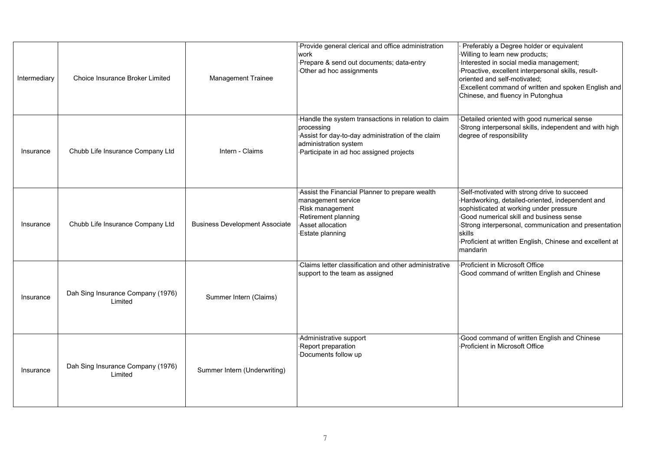| Intermediary | Choice Insurance Broker Limited              | <b>Management Trainee</b>             | Provide general clerical and office administration<br>work<br>Prepare & send out documents; data-entry<br>Other ad hoc assignments                                                          | Preferably a Degree holder or equivalent<br>Willing to learn new products;<br>Interested in social media management;<br>Proactive, excellent interpersonal skills, result-<br>oriented and self-motivated;<br>Excellent command of written and spoken English and<br>Chinese, and fluency in Putonghua                        |
|--------------|----------------------------------------------|---------------------------------------|---------------------------------------------------------------------------------------------------------------------------------------------------------------------------------------------|-------------------------------------------------------------------------------------------------------------------------------------------------------------------------------------------------------------------------------------------------------------------------------------------------------------------------------|
| Insurance    | Chubb Life Insurance Company Ltd             | Intern - Claims                       | ·Handle the system transactions in relation to claim<br>processing<br>Assist for day-to-day administration of the claim<br>administration system<br>Participate in ad hoc assigned projects | Detailed oriented with good numerical sense<br>Strong interpersonal skills, independent and with high<br>degree of responsibility                                                                                                                                                                                             |
| Insurance    | Chubb Life Insurance Company Ltd             | <b>Business Development Associate</b> | Assist the Financial Planner to prepare wealth<br>management service<br>Risk management<br>Retirement planning<br>Asset allocation<br>Estate planning                                       | Self-motivated with strong drive to succeed<br>Hardworking, detailed-oriented, independent and<br>sophisticated at working under pressure<br>Good numerical skill and business sense<br>Strong interpersonal, communication and presentation<br>skills<br>Proficient at written English, Chinese and excellent at<br>mandarin |
| Insurance    | Dah Sing Insurance Company (1976)<br>Limited | Summer Intern (Claims)                | Claims letter classification and other administrative<br>support to the team as assigned                                                                                                    | Proficient in Microsoft Office<br>Good command of written English and Chinese                                                                                                                                                                                                                                                 |
| Insurance    | Dah Sing Insurance Company (1976)<br>Limited | Summer Intern (Underwriting)          | Administrative support<br>Report preparation<br>Documents follow up                                                                                                                         | Good command of written English and Chinese<br>Proficient in Microsoft Office                                                                                                                                                                                                                                                 |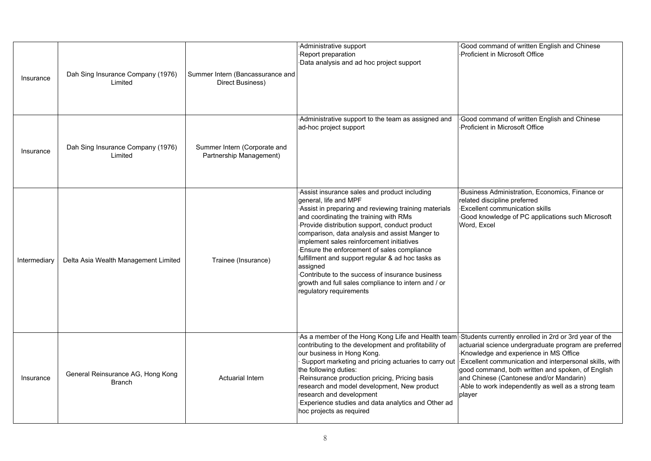| Insurance    | Dah Sing Insurance Company (1976)<br>Limited       | Summer Intern (Bancassurance and<br>Direct Business)    | Administrative support<br>Report preparation<br>Data analysis and ad hoc project support                                                                                                                                                                                                                                                                                                                                                                                                                                                                                    | Good command of written English and Chinese<br>Proficient in Microsoft Office                                                                                                                                                                                                                                             |
|--------------|----------------------------------------------------|---------------------------------------------------------|-----------------------------------------------------------------------------------------------------------------------------------------------------------------------------------------------------------------------------------------------------------------------------------------------------------------------------------------------------------------------------------------------------------------------------------------------------------------------------------------------------------------------------------------------------------------------------|---------------------------------------------------------------------------------------------------------------------------------------------------------------------------------------------------------------------------------------------------------------------------------------------------------------------------|
| Insurance    | Dah Sing Insurance Company (1976)<br>Limited       | Summer Intern (Corporate and<br>Partnership Management) | Administrative support to the team as assigned and<br>ad-hoc project support                                                                                                                                                                                                                                                                                                                                                                                                                                                                                                | Good command of written English and Chinese<br>Proficient in Microsoft Office                                                                                                                                                                                                                                             |
| Intermediary | Delta Asia Wealth Management Limited               | Trainee (Insurance)                                     | Assist insurance sales and product including<br>general, life and MPF<br>Assist in preparing and reviewing training materials<br>and coordinating the training with RMs<br>Provide distribution support, conduct product<br>comparison, data analysis and assist Manger to<br>implement sales reinforcement initiatives<br>Ensure the enforcement of sales compliance<br>fulfillment and support regular & ad hoc tasks as<br>assigned<br>Contribute to the success of insurance business<br>growth and full sales compliance to intern and / or<br>regulatory requirements | Business Administration, Economics, Finance or<br>related discipline preferred<br><b>Excellent communication skills</b><br>Good knowledge of PC applications such Microsoft<br>Word, Excel                                                                                                                                |
| Insurance    | General Reinsurance AG, Hong Kong<br><b>Branch</b> | <b>Actuarial Intern</b>                                 | As a member of the Hong Kong Life and Health team Students currently enrolled in 2rd or 3rd year of the<br>contributing to the development and profitability of<br>our business in Hong Kong.<br>Support marketing and pricing actuaries to carry out<br>the following duties:<br>Reinsurance production pricing, Pricing basis<br>research and model development, New product<br>research and development<br>Experience studies and data analytics and Other ad<br>hoc projects as required                                                                                | actuarial science undergraduate program are preferred<br>Knowledge and experience in MS Office<br>Excellent communication and interpersonal skills, with<br>good command, both written and spoken, of English<br>and Chinese (Cantonese and/or Mandarin)<br>Able to work independently as well as a strong team<br>player |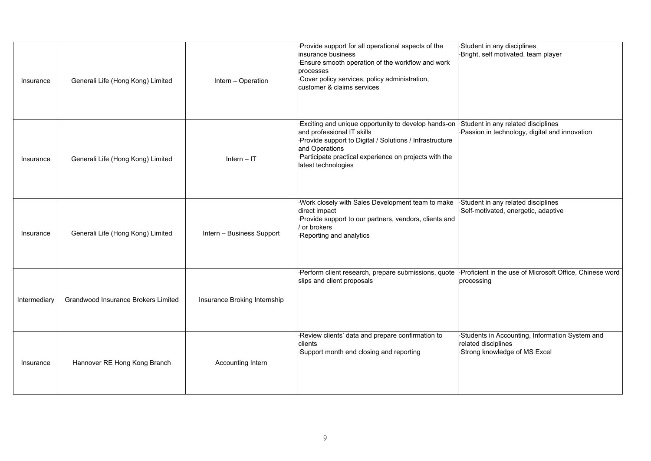| Insurance    | Generali Life (Hong Kong) Limited   | Intern - Operation           | Provide support for all operational aspects of the<br>insurance business<br>Ensure smooth operation of the workflow and work<br>processes<br>Cover policy services, policy administration,<br>customer & claims services                       | Student in any disciplines<br>Bright, self motivated, team player                                     |
|--------------|-------------------------------------|------------------------------|------------------------------------------------------------------------------------------------------------------------------------------------------------------------------------------------------------------------------------------------|-------------------------------------------------------------------------------------------------------|
| Insurance    | Generali Life (Hong Kong) Limited   | Intern $-IT$                 | Exciting and unique opportunity to develop hands-on<br>and professional IT skills<br>Provide support to Digital / Solutions / Infrastructure<br>and Operations<br>Participate practical experience on projects with the<br>latest technologies | Student in any related disciplines<br>Passion in technology, digital and innovation                   |
| Insurance    | Generali Life (Hong Kong) Limited   | Intern - Business Support    | Work closely with Sales Development team to make<br>direct impact<br>Provide support to our partners, vendors, clients and<br>/ or brokers<br>Reporting and analytics                                                                          | Student in any related disciplines<br>Self-motivated, energetic, adaptive                             |
| Intermediary | Grandwood Insurance Brokers Limited | Insurance Broking Internship | Perform client research, prepare submissions, quote<br>slips and client proposals                                                                                                                                                              | Proficient in the use of Microsoft Office, Chinese word<br>processing                                 |
| Insurance    | Hannover RE Hong Kong Branch        | Accounting Intern            | Review clients' data and prepare confirmation to<br>clients<br>Support month end closing and reporting                                                                                                                                         | Students in Accounting, Information System and<br>related disciplines<br>Strong knowledge of MS Excel |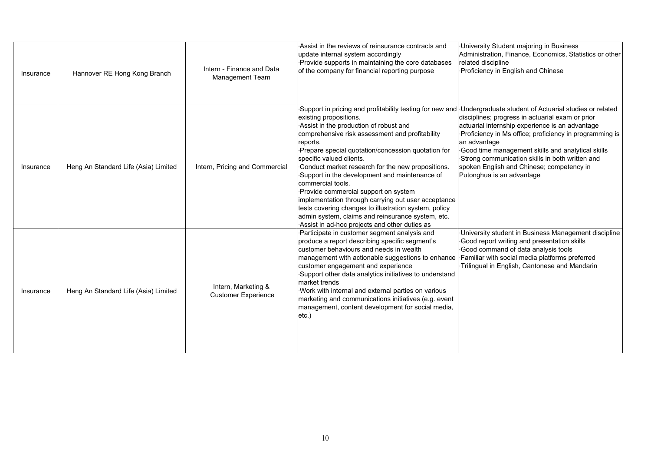| Insurance | Hannover RE Hong Kong Branch         | Intern - Finance and Data<br><b>Management Team</b> | Assist in the reviews of reinsurance contracts and<br>update internal system accordingly<br>Provide supports in maintaining the core databases<br>of the company for financial reporting purpose                                                                                                                                                                                                                                                                                                                                                                                                                                                                       | University Student majoring in Business<br>Administration, Finance, Economics, Statistics or other<br>related discipline<br>Proficiency in English and Chinese                                                                                                                                                                                                                                                            |
|-----------|--------------------------------------|-----------------------------------------------------|------------------------------------------------------------------------------------------------------------------------------------------------------------------------------------------------------------------------------------------------------------------------------------------------------------------------------------------------------------------------------------------------------------------------------------------------------------------------------------------------------------------------------------------------------------------------------------------------------------------------------------------------------------------------|---------------------------------------------------------------------------------------------------------------------------------------------------------------------------------------------------------------------------------------------------------------------------------------------------------------------------------------------------------------------------------------------------------------------------|
| Insurance | Heng An Standard Life (Asia) Limited | Intern, Pricing and Commercial                      | Support in pricing and profitability testing for new and<br>existing propositions.<br>Assist in the production of robust and<br>comprehensive risk assessment and profitability<br>reports.<br>Prepare special quotation/concession quotation for<br>specific valued clients.<br>Conduct market research for the new propositions.<br>Support in the development and maintenance of<br>commercial tools.<br>Provide commercial support on system<br>implementation through carrying out user acceptance<br>tests covering changes to illustration system, policy<br>admin system, claims and reinsurance system, etc.<br>Assist in ad-hoc projects and other duties as | Undergraduate student of Actuarial studies or related<br>disciplines; progress in actuarial exam or prior<br>actuarial internship experience is an advantage<br>Proficiency in Ms office; proficiency in programming is<br>an advantage<br>Good time management skills and analytical skills<br>Strong communication skills in both written and<br>spoken English and Chinese; competency in<br>Putonghua is an advantage |
| Insurance | Heng An Standard Life (Asia) Limited | Intern, Marketing &<br><b>Customer Experience</b>   | Participate in customer segment analysis and<br>produce a report describing specific segment's<br>customer behaviours and needs in wealth<br>management with actionable suggestions to enhance<br>customer engagement and experience<br>Support other data analytics initiatives to understand<br>market trends<br>Work with internal and external parties on various<br>marketing and communications initiatives (e.g. event<br>management, content development for social media,<br>$etc.$ )                                                                                                                                                                         | University student in Business Management discipline<br>Good report writing and presentation skills<br>Good command of data analysis tools<br>Familiar with social media platforms preferred<br>Trilingual in English, Cantonese and Mandarin                                                                                                                                                                             |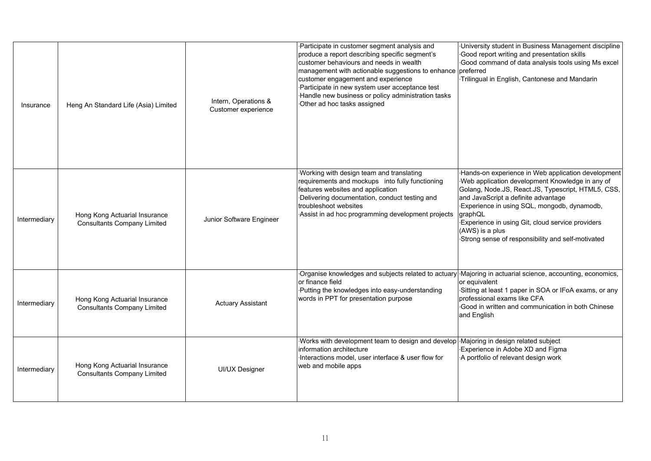| Insurance    | Heng An Standard Life (Asia) Limited                                | Intern, Operations &<br>Customer experience | Participate in customer segment analysis and<br>produce a report describing specific segment's<br>customer behaviours and needs in wealth<br>management with actionable suggestions to enhance preferred<br>customer engagement and experience<br>Participate in new system user acceptance test<br>Handle new business or policy administration tasks<br>Other ad hoc tasks assigned | University student in Business Management discipline<br>Good report writing and presentation skills<br>Good command of data analysis tools using Ms excel<br>Trilingual in English, Cantonese and Mandarin                                                                                                                                                                               |
|--------------|---------------------------------------------------------------------|---------------------------------------------|---------------------------------------------------------------------------------------------------------------------------------------------------------------------------------------------------------------------------------------------------------------------------------------------------------------------------------------------------------------------------------------|------------------------------------------------------------------------------------------------------------------------------------------------------------------------------------------------------------------------------------------------------------------------------------------------------------------------------------------------------------------------------------------|
| Intermediary | Hong Kong Actuarial Insurance<br><b>Consultants Company Limited</b> | Junior Software Engineer                    | Working with design team and translating<br>requirements and mockups into fully functioning<br>features websites and application<br>Delivering documentation, conduct testing and<br>troubleshoot websites<br>Assist in ad hoc programming development projects                                                                                                                       | Hands-on experience in Web application development<br>Web application development Knowledge in any of<br>Golang, Node.JS, React.JS, Typescript, HTML5, CSS,<br>and JavaScript a definite advantage<br>Experience in using SQL, mongodb, dynamodb,<br>graphQL<br>Experience in using Git, cloud service providers<br>(AWS) is a plus<br>Strong sense of responsibility and self-motivated |
| Intermediary | Hong Kong Actuarial Insurance<br><b>Consultants Company Limited</b> | <b>Actuary Assistant</b>                    | Organise knowledges and subjects related to actuary<br>or finance field<br>Putting the knowledges into easy-understanding<br>words in PPT for presentation purpose                                                                                                                                                                                                                    | Majoring in actuarial science, accounting, economics,<br>or equivalent<br>Sitting at least 1 paper in SOA or IFoA exams, or any<br>professional exams like CFA<br>Good in written and communication in both Chinese<br>and English                                                                                                                                                       |
| Intermediary | Hong Kong Actuarial Insurance<br><b>Consultants Company Limited</b> | <b>UI/UX Designer</b>                       | Works with development team to design and develop<br>information architecture<br>Interactions model, user interface & user flow for<br>web and mobile apps                                                                                                                                                                                                                            | Majoring in design related subject<br>Experience in Adobe XD and Figma<br>A portfolio of relevant design work                                                                                                                                                                                                                                                                            |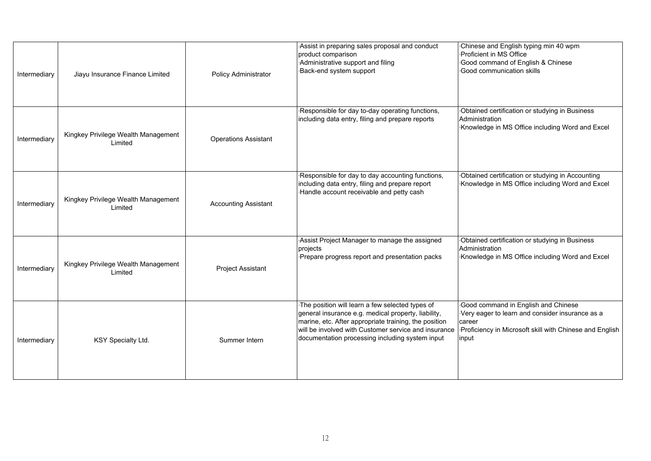| Intermediary | Jiayu Insurance Finance Limited                | Policy Administrator        | Assist in preparing sales proposal and conduct<br>product comparison<br>Administrative support and filing<br>Back-end system support                                                                                                                                       | Chinese and English typing min 40 wpm<br>Proficient in MS Office<br>Good command of English & Chinese<br>Good communication skills                                   |
|--------------|------------------------------------------------|-----------------------------|----------------------------------------------------------------------------------------------------------------------------------------------------------------------------------------------------------------------------------------------------------------------------|----------------------------------------------------------------------------------------------------------------------------------------------------------------------|
| Intermediary | Kingkey Privilege Wealth Management<br>Limited | <b>Operations Assistant</b> | Responsible for day to-day operating functions,<br>including data entry, filing and prepare reports                                                                                                                                                                        | Obtained certification or studying in Business<br>Administration<br>Knowledge in MS Office including Word and Excel                                                  |
| Intermediary | Kingkey Privilege Wealth Management<br>Limited | <b>Accounting Assistant</b> | Responsible for day to day accounting functions,<br>including data entry, filing and prepare report<br>·Handle account receivable and petty cash                                                                                                                           | Obtained certification or studying in Accounting<br>Knowledge in MS Office including Word and Excel                                                                  |
| Intermediary | Kingkey Privilege Wealth Management<br>Limited | Project Assistant           | Assist Project Manager to manage the assigned<br>projects<br>Prepare progress report and presentation packs                                                                                                                                                                | Obtained certification or studying in Business<br>Administration<br>Knowledge in MS Office including Word and Excel                                                  |
| Intermediary | KSY Specialty Ltd.                             | Summer Intern               | The position will learn a few selected types of<br>general insurance e.g. medical property, liability,<br>marine, etc. After appropriate training, the position<br>will be involved with Customer service and insurance<br>documentation processing including system input | Good command in English and Chinese<br>Very eager to learn and consider insurance as a<br>career<br>Proficiency in Microsoft skill with Chinese and English<br>input |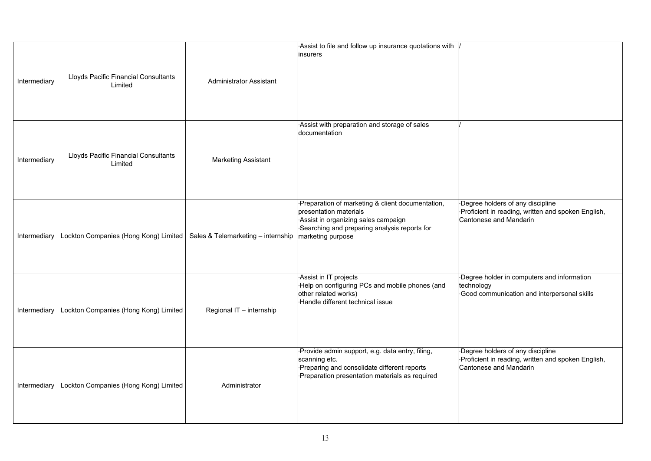|              |                                                 |                                    | Assist to file and follow up insurance quotations with                                                                                                                                 |                                                                                                                  |
|--------------|-------------------------------------------------|------------------------------------|----------------------------------------------------------------------------------------------------------------------------------------------------------------------------------------|------------------------------------------------------------------------------------------------------------------|
| Intermediary | Lloyds Pacific Financial Consultants<br>Limited | <b>Administrator Assistant</b>     | insurers                                                                                                                                                                               |                                                                                                                  |
| Intermediary | Lloyds Pacific Financial Consultants<br>Limited | <b>Marketing Assistant</b>         | Assist with preparation and storage of sales<br>documentation                                                                                                                          |                                                                                                                  |
| Intermediary | Lockton Companies (Hong Kong) Limited           | Sales & Telemarketing - internship | Preparation of marketing & client documentation,<br>presentation materials<br>Assist in organizing sales campaign<br>Searching and preparing analysis reports for<br>marketing purpose | Degree holders of any discipline<br>Proficient in reading, written and spoken English,<br>Cantonese and Mandarin |
| Intermediary | Lockton Companies (Hong Kong) Limited           | Regional IT - internship           | Assist in IT projects<br>Help on configuring PCs and mobile phones (and<br>other related works)<br>Handle different technical issue                                                    | Degree holder in computers and information<br>technology<br>Good communication and interpersonal skills          |
| Intermediary | Lockton Companies (Hong Kong) Limited           | Administrator                      | Provide admin support, e.g. data entry, filing,<br>scanning etc.<br>Preparing and consolidate different reports<br>Preparation presentation materials as required                      | Degree holders of any discipline<br>Proficient in reading, written and spoken English,<br>Cantonese and Mandarin |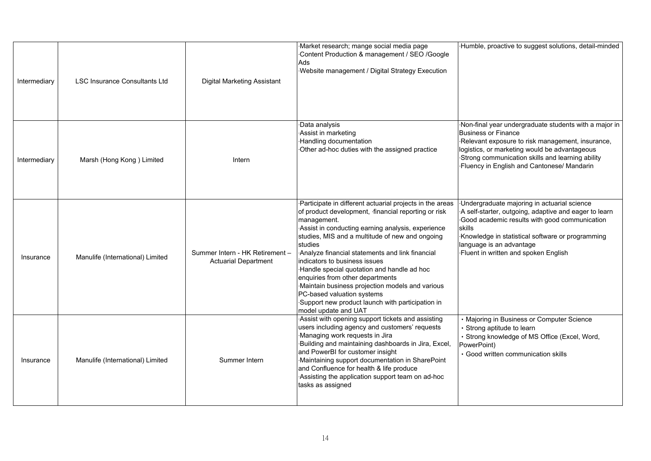| Intermediary | <b>LSC Insurance Consultants Ltd</b> | <b>Digital Marketing Assistant</b>                             | Market research; mange social media page<br>Content Production & management / SEO /Google<br>Ads<br>Website management / Digital Strategy Execution                                                                                                                                                                                                                                                                                                                                                                                                                                  | ·Humble, proactive to suggest solutions, detail-minded                                                                                                                                                                                                                                      |
|--------------|--------------------------------------|----------------------------------------------------------------|--------------------------------------------------------------------------------------------------------------------------------------------------------------------------------------------------------------------------------------------------------------------------------------------------------------------------------------------------------------------------------------------------------------------------------------------------------------------------------------------------------------------------------------------------------------------------------------|---------------------------------------------------------------------------------------------------------------------------------------------------------------------------------------------------------------------------------------------------------------------------------------------|
| Intermediary | Marsh (Hong Kong) Limited            | Intern                                                         | Data analysis<br>Assist in marketing<br><b>Handling documentation</b><br>Other ad-hoc duties with the assigned practice                                                                                                                                                                                                                                                                                                                                                                                                                                                              | Non-final year undergraduate students with a major in<br><b>Business or Finance</b><br>Relevant exposure to risk management, insurance,<br>logistics, or marketing would be advantageous<br>Strong communication skills and learning ability<br>.Fluency in English and Cantonese/ Mandarin |
| Insurance    | Manulife (International) Limited     | Summer Intern - HK Retirement -<br><b>Actuarial Department</b> | Participate in different actuarial projects in the areas<br>of product development, financial reporting or risk<br>management.<br>Assist in conducting earning analysis, experience<br>studies, MIS and a multitude of new and ongoing<br>studies<br>Analyze financial statements and link financial<br>indicators to business issues<br>Handle special quotation and handle ad hoc<br>enquiries from other departments<br>Maintain business projection models and various<br>PC-based valuation systems<br>Support new product launch with participation in<br>model update and UAT | Undergraduate majoring in actuarial science<br>A self-starter, outgoing, adaptive and eager to learn<br>Good academic results with good communication<br>skills<br>Knowledge in statistical software or programming<br>language is an advantage<br>-Fluent in written and spoken English    |
| Insurance    | Manulife (International) Limited     | Summer Intern                                                  | Assist with opening support tickets and assisting<br>users including agency and customers' requests<br>Managing work requests in Jira<br>Building and maintaining dashboards in Jira, Excel,<br>and PowerBI for customer insight<br>Maintaining support documentation in SharePoint<br>and Confluence for health & life produce<br>Assisting the application support team on ad-hoc<br>tasks as assigned                                                                                                                                                                             | • Majoring in Business or Computer Science<br>· Strong aptitude to learn<br>· Strong knowledge of MS Office (Excel, Word,<br>PowerPoint)<br>· Good written communication skills                                                                                                             |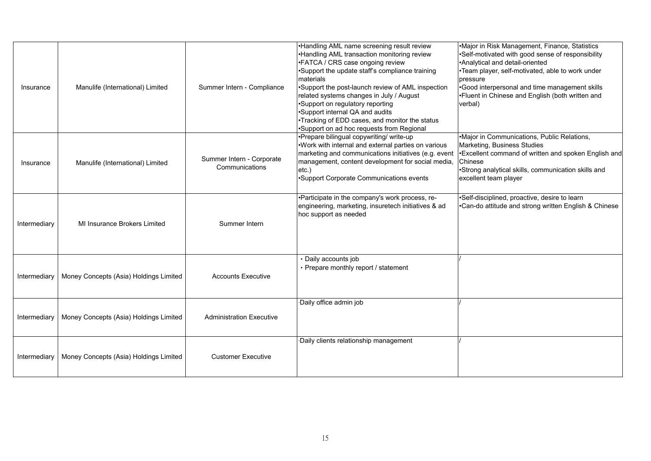| Insurance    | Manulife (International) Limited       | Summer Intern - Compliance                  | .Handling AML name screening result review<br>•Handling AML transaction monitoring review<br>•FATCA / CRS case ongoing review<br>•Support the update staff's compliance training<br>materials<br>•Support the post-launch review of AML inspection<br>related systems changes in July / August<br>•Support on regulatory reporting<br>•Support internal QA and audits<br>•Tracking of EDD cases, and monitor the status<br>•Support on ad hoc requests from Regional | Major in Risk Management, Finance, Statistics<br>•Self-motivated with good sense of responsibility<br>•Analytical and detail-oriented<br>•Team player, self-motivated, able to work under<br>pressure<br>•Good interpersonal and time management skills<br>•Fluent in Chinese and English (both written and<br>verbal) |
|--------------|----------------------------------------|---------------------------------------------|----------------------------------------------------------------------------------------------------------------------------------------------------------------------------------------------------------------------------------------------------------------------------------------------------------------------------------------------------------------------------------------------------------------------------------------------------------------------|------------------------------------------------------------------------------------------------------------------------------------------------------------------------------------------------------------------------------------------------------------------------------------------------------------------------|
| Insurance    | Manulife (International) Limited       | Summer Intern - Corporate<br>Communications | •Prepare bilingual copywriting/ write-up<br>Work with internal and external parties on various<br>marketing and communications initiatives (e.g. event<br>management, content development for social media,<br>$etc.$ )<br>•Support Corporate Communications events                                                                                                                                                                                                  | Major in Communications, Public Relations,<br>Marketing, Business Studies<br>•Excellent command of written and spoken English and<br>Chinese<br>•Strong analytical skills, communication skills and<br>excellent team player                                                                                           |
| Intermediary | MI Insurance Brokers Limited           | Summer Intern                               | •Participate in the company's work process, re-<br>engineering, marketing, insuretech initiatives & ad<br>hoc support as needed                                                                                                                                                                                                                                                                                                                                      | •Self-disciplined, proactive, desire to learn<br>•Can-do attitude and strong written English & Chinese                                                                                                                                                                                                                 |
| Intermediary | Money Concepts (Asia) Holdings Limited | <b>Accounts Executive</b>                   | · Daily accounts job<br>• Prepare monthly report / statement                                                                                                                                                                                                                                                                                                                                                                                                         |                                                                                                                                                                                                                                                                                                                        |
| Intermediary | Money Concepts (Asia) Holdings Limited | <b>Administration Executive</b>             | Daily office admin job                                                                                                                                                                                                                                                                                                                                                                                                                                               |                                                                                                                                                                                                                                                                                                                        |
| Intermediary | Money Concepts (Asia) Holdings Limited | <b>Customer Executive</b>                   | Daily clients relationship management                                                                                                                                                                                                                                                                                                                                                                                                                                |                                                                                                                                                                                                                                                                                                                        |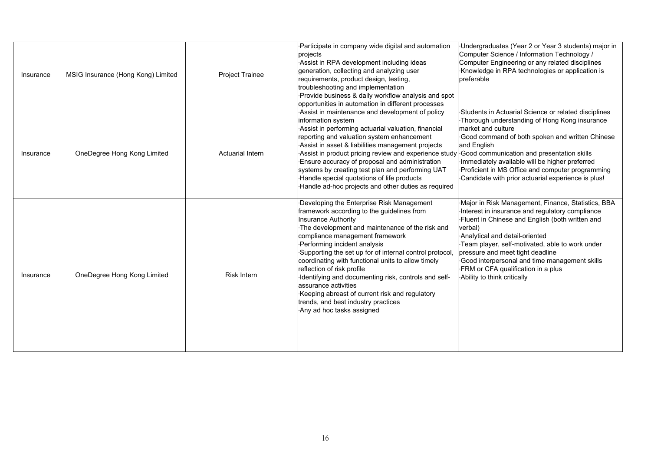| Insurance | MSIG Insurance (Hong Kong) Limited | Project Trainee    | Participate in company wide digital and automation<br>projects<br>Assist in RPA development including ideas<br>generation, collecting and analyzing user<br>requirements, product design, testing,<br>troubleshooting and implementation<br>Provide business & daily workflow analysis and spot<br>opportunities in automation in different processes                                                                                                                                                                                                                                            | ·Undergraduates (Year 2 or Year 3 students) major in<br>Computer Science / Information Technology /<br>Computer Engineering or any related disciplines<br>Knowledge in RPA technologies or application is<br>preferable                                                                                                                                                                                            |
|-----------|------------------------------------|--------------------|--------------------------------------------------------------------------------------------------------------------------------------------------------------------------------------------------------------------------------------------------------------------------------------------------------------------------------------------------------------------------------------------------------------------------------------------------------------------------------------------------------------------------------------------------------------------------------------------------|--------------------------------------------------------------------------------------------------------------------------------------------------------------------------------------------------------------------------------------------------------------------------------------------------------------------------------------------------------------------------------------------------------------------|
| Insurance | OneDegree Hong Kong Limited        | Actuarial Intern   | Assist in maintenance and development of policy<br>information system<br>Assist in performing actuarial valuation, financial<br>reporting and valuation system enhancement<br>Assist in asset & liabilities management projects<br>Assist in product pricing review and experience study<br>Ensure accuracy of proposal and administration<br>systems by creating test plan and performing UAT<br>Handle special quotations of life products<br>Handle ad-hoc projects and other duties as required                                                                                              | Students in Actuarial Science or related disciplines<br>Thorough understanding of Hong Kong insurance<br>market and culture<br>Good command of both spoken and written Chinese<br>and English<br>Good communication and presentation skills<br>Immediately available will be higher preferred<br>Proficient in MS Office and computer programming<br>Candidate with prior actuarial experience is plus!            |
| Insurance | OneDegree Hong Kong Limited        | <b>Risk Intern</b> | Developing the Enterprise Risk Management<br>framework according to the guidelines from<br><b>Insurance Authority</b><br>The development and maintenance of the risk and<br>compliance management framework<br>Performing incident analysis<br>Supporting the set up for of internal control protocol,<br>coordinating with functional units to allow timely<br>reflection of risk profile<br>Identifying and documenting risk, controls and self-<br>assurance activities<br>Keeping abreast of current risk and regulatory<br>trends, and best industry practices<br>Any ad hoc tasks assigned | Major in Risk Management, Finance, Statistics, BBA<br>Interest in insurance and regulatory compliance<br>Fluent in Chinese and English (both written and<br>verbal)<br>Analytical and detail-oriented<br>Team player, self-motivated, able to work under<br>pressure and meet tight deadline<br>Good interpersonal and time management skills<br>FRM or CFA qualification in a plus<br>Ability to think critically |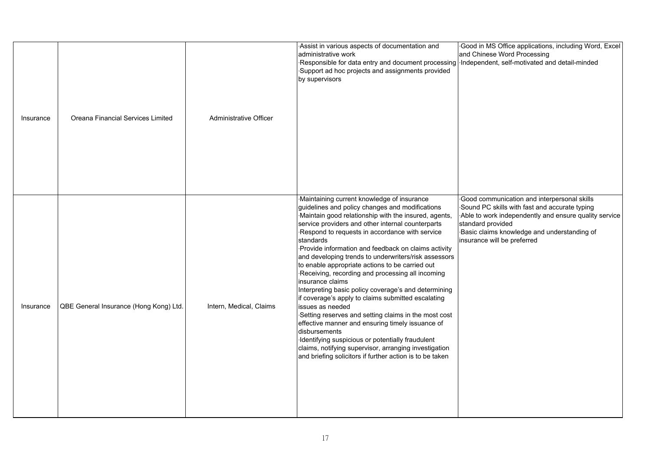| Insurance | Oreana Financial Services Limited      | Administrative Officer  | Assist in various aspects of documentation and<br>administrative work<br>Responsible for data entry and document processing<br>Support ad hoc projects and assignments provided<br>by supervisors                                                                                                                                                                                                                                                                                                                                                                                                                                                                                                                                                                                                                                                                                                                                                           | Good in MS Office applications, including Word, Excel<br>and Chinese Word Processing<br>Independent, self-motivated and detail-minded                                                                                                                    |
|-----------|----------------------------------------|-------------------------|-------------------------------------------------------------------------------------------------------------------------------------------------------------------------------------------------------------------------------------------------------------------------------------------------------------------------------------------------------------------------------------------------------------------------------------------------------------------------------------------------------------------------------------------------------------------------------------------------------------------------------------------------------------------------------------------------------------------------------------------------------------------------------------------------------------------------------------------------------------------------------------------------------------------------------------------------------------|----------------------------------------------------------------------------------------------------------------------------------------------------------------------------------------------------------------------------------------------------------|
| Insurance | QBE General Insurance (Hong Kong) Ltd. | Intern, Medical, Claims | Maintaining current knowledge of insurance<br>guidelines and policy changes and modifications<br>Maintain good relationship with the insured, agents,<br>service providers and other internal counterparts<br>Respond to requests in accordance with service<br>standards<br>Provide information and feedback on claims activity<br>and developing trends to underwriters/risk assessors<br>to enable appropriate actions to be carried out<br>Receiving, recording and processing all incoming<br>insurance claims<br>Interpreting basic policy coverage's and determining<br>if coverage's apply to claims submitted escalating<br>issues as needed<br>Setting reserves and setting claims in the most cost<br>effective manner and ensuring timely issuance of<br>disbursements<br>Identifying suspicious or potentially fraudulent<br>claims, notifying supervisor, arranging investigation<br>and briefing solicitors if further action is to be taken | Good communication and interpersonal skills<br>Sound PC skills with fast and accurate typing<br>Able to work independently and ensure quality service<br>standard provided<br>Basic claims knowledge and understanding of<br>insurance will be preferred |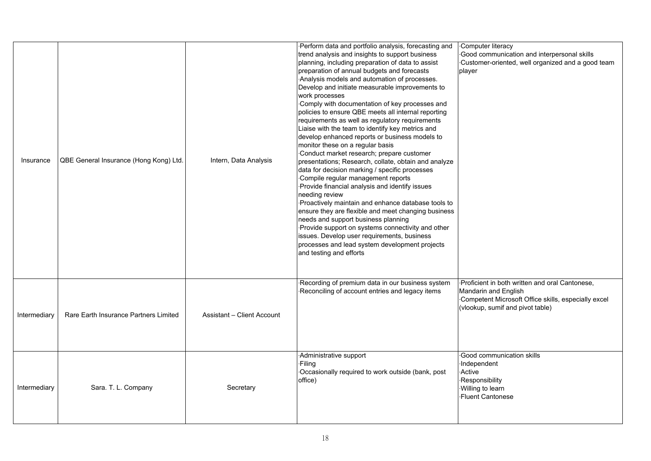| Insurance    | QBE General Insurance (Hong Kong) Ltd. | Intern, Data Analysis      | Perform data and portfolio analysis, forecasting and<br>trend analysis and insights to support business<br>planning, including preparation of data to assist<br>preparation of annual budgets and forecasts<br>Analysis models and automation of processes.<br>Develop and initiate measurable improvements to<br>work processes<br>Comply with documentation of key processes and<br>policies to ensure QBE meets all internal reporting<br>requirements as well as regulatory requirements<br>Liaise with the team to identify key metrics and<br>develop enhanced reports or business models to<br>monitor these on a regular basis<br>Conduct market research; prepare customer<br>presentations; Research, collate, obtain and analyze<br>data for decision marking / specific processes<br>Compile regular management reports<br>Provide financial analysis and identify issues<br>needing review<br>Proactively maintain and enhance database tools to<br>ensure they are flexible and meet changing business<br>needs and support business planning<br>Provide support on systems connectivity and other<br>issues. Develop user requirements, business<br>processes and lead system development projects<br>and testing and efforts | Computer literacy<br>Good communication and interpersonal skills<br>Customer-oriented, well organized and a good team<br>player                                   |
|--------------|----------------------------------------|----------------------------|----------------------------------------------------------------------------------------------------------------------------------------------------------------------------------------------------------------------------------------------------------------------------------------------------------------------------------------------------------------------------------------------------------------------------------------------------------------------------------------------------------------------------------------------------------------------------------------------------------------------------------------------------------------------------------------------------------------------------------------------------------------------------------------------------------------------------------------------------------------------------------------------------------------------------------------------------------------------------------------------------------------------------------------------------------------------------------------------------------------------------------------------------------------------------------------------------------------------------------------------|-------------------------------------------------------------------------------------------------------------------------------------------------------------------|
| Intermediary | Rare Earth Insurance Partners Limited  | Assistant - Client Account | Recording of premium data in our business system<br>Reconciling of account entries and legacy items                                                                                                                                                                                                                                                                                                                                                                                                                                                                                                                                                                                                                                                                                                                                                                                                                                                                                                                                                                                                                                                                                                                                          | Proficient in both written and oral Cantonese,<br>Mandarin and English<br>Competent Microsoft Office skills, especially excel<br>(vlookup, sumif and pivot table) |
| Intermediary | Sara. T. L. Company                    | Secretary                  | Administrative support<br>·Filing<br>Occasionally required to work outside (bank, post<br>office)                                                                                                                                                                                                                                                                                                                                                                                                                                                                                                                                                                                                                                                                                                                                                                                                                                                                                                                                                                                                                                                                                                                                            | Good communication skills<br>·Independent<br><b>Active</b><br>Responsibility<br>Willing to learn<br>Fluent Cantonese                                              |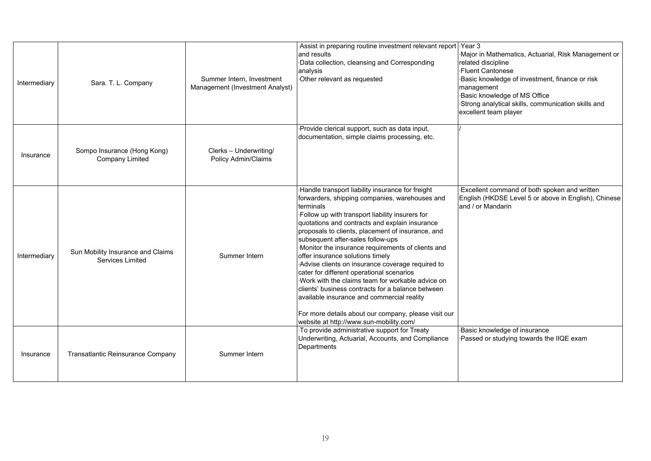| Intermediary | Sara. T. L. Company                                   | Summer Intern, Investment<br>Management (Investment Analyst) | Assist in preparing routine investment relevant report<br>and results<br>Data collection, cleansing and Corresponding<br>analysis<br>Other relevant as requested                                                                                                                                                                                                                                                                                                                                                                                                                                                                                                                                                                                                   | Year 3<br>Major in Mathematics, Actuarial, Risk Management or<br>related discipline<br><b>Fluent Cantonese</b><br>Basic knowledge of investment, finance or risk<br>management<br>Basic knowledge of MS Office<br>Strong analytical skills, communication skills and<br>excellent team player |
|--------------|-------------------------------------------------------|--------------------------------------------------------------|--------------------------------------------------------------------------------------------------------------------------------------------------------------------------------------------------------------------------------------------------------------------------------------------------------------------------------------------------------------------------------------------------------------------------------------------------------------------------------------------------------------------------------------------------------------------------------------------------------------------------------------------------------------------------------------------------------------------------------------------------------------------|-----------------------------------------------------------------------------------------------------------------------------------------------------------------------------------------------------------------------------------------------------------------------------------------------|
| Insurance    | Sompo Insurance (Hong Kong)<br><b>Company Limited</b> | Clerks - Underwriting/<br>Policy Admin/Claims                | Provide clerical support, such as data input,<br>documentation, simple claims processing, etc.                                                                                                                                                                                                                                                                                                                                                                                                                                                                                                                                                                                                                                                                     |                                                                                                                                                                                                                                                                                               |
| Intermediary | Sun Mobility Insurance and Claims<br>Services Limited | Summer Intern                                                | Handle transport liability insurance for freight<br>forwarders, shipping companies, warehouses and<br>terminals<br>Follow up with transport liability insurers for<br>quotations and contracts and explain insurance<br>proposals to clients, placement of insurance, and<br>subsequent after-sales follow-ups<br>Monitor the insurance requirements of clients and<br>offer insurance solutions timely<br>Advise clients on insurance coverage required to<br>cater for different operational scenarios<br>Work with the claims team for workable advice on<br>clients' business contracts for a balance between<br>available insurance and commercial reality<br>For more details about our company, please visit our<br>website at http://www.sun-mobility.com/ | Excellent command of both spoken and written<br>English (HKDSE Level 5 or above in English), Chinese<br>and / or Mandarin                                                                                                                                                                     |
| Insurance    | Transatlantic Reinsurance Company                     | Summer Intern                                                | To provide administrative support for Treaty<br>Underwriting, Actuarial, Accounts, and Compliance<br>Departments                                                                                                                                                                                                                                                                                                                                                                                                                                                                                                                                                                                                                                                   | Basic knowledge of insurance<br>Passed or studying towards the IIQE exam                                                                                                                                                                                                                      |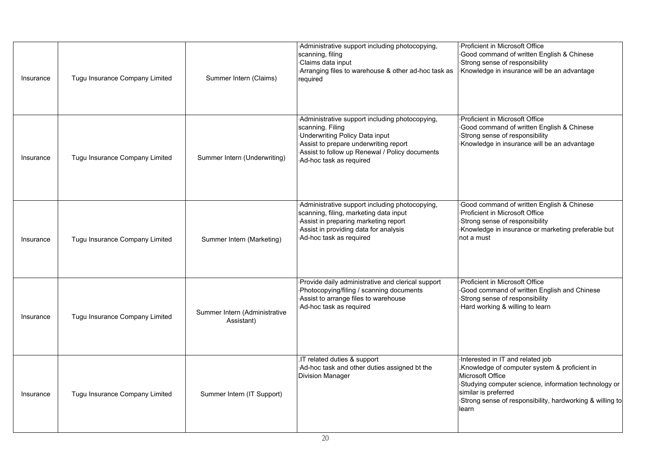| Insurance | Tugu Insurance Company Limited | Summer Intern (Claims)                      | Administrative support including photocopying,<br>scanning, filing<br>Claims data input<br>Arranging files to warehouse & other ad-hoc task as<br>required                                                                        | Proficient in Microsoft Office<br>Good command of written English & Chinese<br>Strong sense of responsibility<br>Knowledge in insurance will be an advantage                                                                                               |
|-----------|--------------------------------|---------------------------------------------|-----------------------------------------------------------------------------------------------------------------------------------------------------------------------------------------------------------------------------------|------------------------------------------------------------------------------------------------------------------------------------------------------------------------------------------------------------------------------------------------------------|
| Insurance | Tugu Insurance Company Limited | Summer Intern (Underwriting)                | Administrative support including photocopying,<br>scanning. Filing<br><b>Underwriting Policy Data input</b><br>Assist to prepare underwriting report<br>Assist to follow up Renewal / Policy documents<br>Ad-hoc task as required | Proficient in Microsoft Office<br>Good command of written English & Chinese<br>Strong sense of responsibility<br>Knowledge in insurance will be an advantage                                                                                               |
| Insurance | Tugu Insurance Company Limited | Summer Intern (Marketing)                   | Administrative support including photocopying,<br>scanning, filing, marketing data input<br>Assist in preparing marketing report<br>Assist in providing data for analysis<br>Ad-hoc task as required                              | Good command of written English & Chinese<br>Proficient in Microsoft Office<br>Strong sense of responsibility<br>Knowledge in insurance or marketing preferable but<br>not a must                                                                          |
| Insurance | Tugu Insurance Company Limited | Summer Intern (Administrative<br>Assistant) | Provide daily administrative and clerical support<br>-Photocopying/filing / scanning documents<br>Assist to arrange files to warehouse<br>Ad-hoc task as required                                                                 | Proficient in Microsoft Office<br>Good command of written English and Chinese<br>Strong sense of responsibility<br>Hard working & willing to learn                                                                                                         |
| Insurance | Tugu Insurance Company Limited | Summer Intern (IT Support)                  | .IT related duties & support<br>Ad-hoc task and other duties assigned bt the<br><b>Division Manager</b>                                                                                                                           | Interested in IT and related job<br>.Knowledge of computer system & proficient in<br>Microsoft Office<br>Studying computer science, information technology or<br>similar is preferred<br>Strong sense of responsibility, hardworking & willing to<br>learn |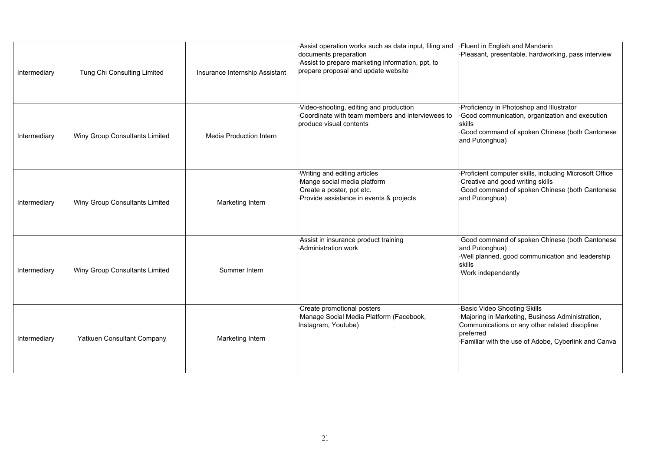| Intermediary | Tung Chi Consulting Limited    | Insurance Internship Assistant | Assist operation works such as data input, filing and<br>documents preparation<br>Assist to prepare marketing information, ppt, to<br>prepare proposal and update website | <b>Fluent in English and Mandarin</b><br>Pleasant, presentable, hardworking, pass interview                                                                                                                 |
|--------------|--------------------------------|--------------------------------|---------------------------------------------------------------------------------------------------------------------------------------------------------------------------|-------------------------------------------------------------------------------------------------------------------------------------------------------------------------------------------------------------|
| Intermediary | Winy Group Consultants Limited | <b>Media Production Intern</b> | Video-shooting, editing and production<br>Coordinate with team members and interviewees to<br>produce visual contents                                                     | Proficiency in Photoshop and Illustrator<br>Good communication, organization and execution<br>skills<br>Good command of spoken Chinese (both Cantonese<br>and Putonghua)                                    |
| Intermediary | Winy Group Consultants Limited | Marketing Intern               | Writing and editing articles<br>Mange social media platform<br>Create a poster, ppt etc.<br>Provide assistance in events & projects                                       | Proficient computer skills, including Microsoft Office<br>Creative and good writing skills<br>Good command of spoken Chinese (both Cantonese<br>and Putonghua)                                              |
| Intermediary | Winy Group Consultants Limited | Summer Intern                  | Assist in insurance product training<br>Administration work                                                                                                               | Good command of spoken Chinese (both Cantonese<br>and Putonghua)<br>Well planned, good communication and leadership<br>skills<br>Work independently                                                         |
| Intermediary | Yatkuen Consultant Company     | Marketing Intern               | Create promotional posters<br>Manage Social Media Platform (Facebook,<br>Instagram, Youtube)                                                                              | <b>Basic Video Shooting Skills</b><br>Majoring in Marketing, Business Administration,<br>Communications or any other related discipline<br>preferred<br>Familiar with the use of Adobe, Cyberlink and Canva |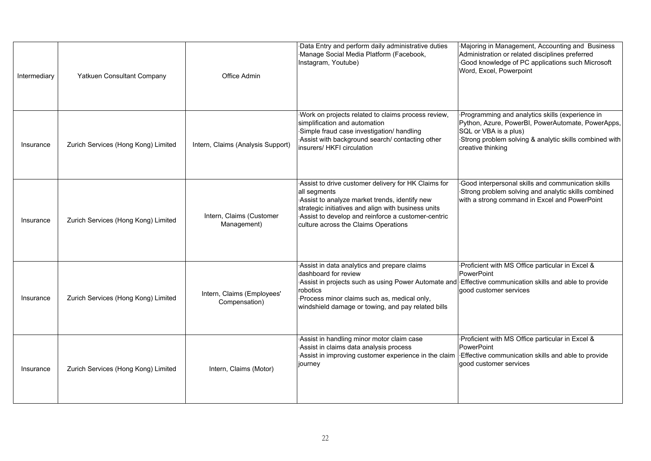| Intermediary | Yatkuen Consultant Company          | Office Admin                                | Data Entry and perform daily administrative duties<br>·Manage Social Media Platform (Facebook,<br>Instagram, Youtube)                                                                                                                                                                          | Majoring in Management, Accounting and Business<br>Administration or related disciplines preferred<br>Good knowledge of PC applications such Microsoft<br>Word, Excel, Powerpoint                            |
|--------------|-------------------------------------|---------------------------------------------|------------------------------------------------------------------------------------------------------------------------------------------------------------------------------------------------------------------------------------------------------------------------------------------------|--------------------------------------------------------------------------------------------------------------------------------------------------------------------------------------------------------------|
| Insurance    | Zurich Services (Hong Kong) Limited | Intern, Claims (Analysis Support)           | Work on projects related to claims process review,<br>simplification and automation<br>Simple fraud case investigation/ handling<br>Assist with background search/ contacting other<br>insurers/ HKFI circulation                                                                              | Programming and analytics skills (experience in<br>Python, Azure, PowerBI, PowerAutomate, PowerApps,<br>SQL or VBA is a plus)<br>Strong problem solving & analytic skills combined with<br>creative thinking |
| Insurance    | Zurich Services (Hong Kong) Limited | Intern, Claims (Customer<br>Management)     | Assist to drive customer delivery for HK Claims for<br>all segments<br>Assist to analyze market trends, identify new<br>strategic initiatives and align with business units<br>Assist to develop and reinforce a customer-centric<br>culture across the Claims Operations                      | Good interpersonal skills and communication skills<br>Strong problem solving and analytic skills combined<br>with a strong command in Excel and PowerPoint                                                   |
| Insurance    | Zurich Services (Hong Kong) Limited | Intern, Claims (Employees'<br>Compensation) | Assist in data analytics and prepare claims<br>dashboard for review<br>Assist in projects such as using Power Automate and Effective communication skills and able to provide<br>robotics<br>Process minor claims such as, medical only,<br>windshield damage or towing, and pay related bills | Proficient with MS Office particular in Excel &<br>PowerPoint<br>good customer services                                                                                                                      |
| Insurance    | Zurich Services (Hong Kong) Limited | Intern, Claims (Motor)                      | Assist in handling minor motor claim case<br>Assist in claims data analysis process<br>Assist in improving customer experience in the claim<br>journey                                                                                                                                         | Proficient with MS Office particular in Excel &<br>PowerPoint<br>Effective communication skills and able to provide<br>good customer services                                                                |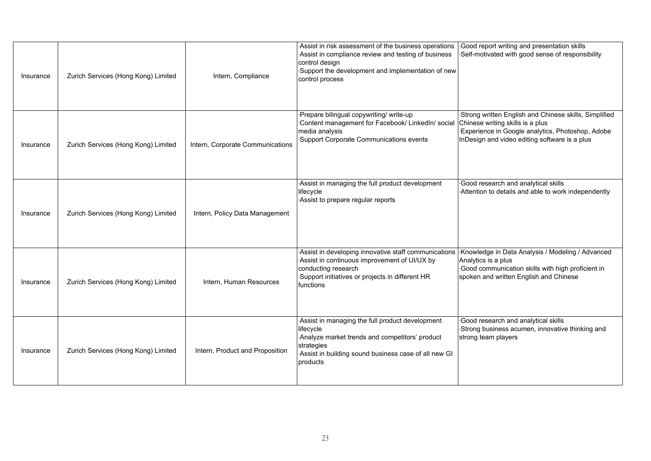| Insurance | Zurich Services (Hong Kong) Limited | Intern, Compliance               | Assist in risk assessment of the business operations<br>Assist in compliance review and testing of business<br>control design<br>Support the development and implementation of new<br>control process | Good report writing and presentation skills<br>Self-motivated with good sense of responsibility                                                                                                |
|-----------|-------------------------------------|----------------------------------|-------------------------------------------------------------------------------------------------------------------------------------------------------------------------------------------------------|------------------------------------------------------------------------------------------------------------------------------------------------------------------------------------------------|
| Insurance | Zurich Services (Hong Kong) Limited | Intern, Corporate Communications | Prepare bilingual copywriting/ write-up<br>Content management for Facebook/ LinkedIn/ social<br>media analysis<br>Support Corporate Communications events                                             | Strong written English and Chinese skills, Simplified<br>Chinese writing skills is a plus<br>Experience in Google analytics, Photoshop, Adobe<br>InDesign and video editing software is a plus |
| Insurance | Zurich Services (Hong Kong) Limited | Intern, Policy Data Management   | Assist in managing the full product development<br>lifecycle<br>Assist to prepare regular reports                                                                                                     | Good research and analytical skills<br>Attention to details and able to work independently                                                                                                     |
| Insurance | Zurich Services (Hong Kong) Limited | Intern, Human Resources          | Assist in developing innovative staff communications<br>Assist in continuous improvement of UI/UX by<br>conducting research<br>Support initiatives or projects in different HR<br>functions           | Knowledge in Data Analysis / Modeling / Advanced<br>Analytics is a plus<br>Good communication skills with high proficient in<br>spoken and written English and Chinese                         |
| Insurance | Zurich Services (Hong Kong) Limited | Intern, Product and Proposition  | Assist in managing the full product development<br>lifecycle<br>Analyze market trends and competitors' product<br>strategies<br>Assist in building sound business case of all new GI<br>products      | Good research and analytical skills<br>Strong business acumen, innovative thinking and<br>strong team players                                                                                  |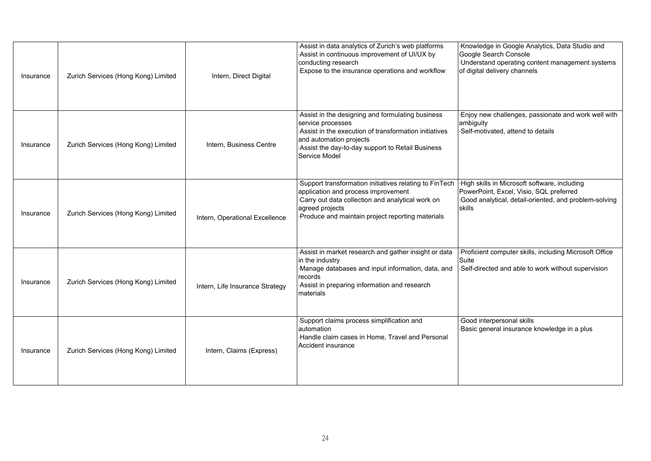| Insurance | Zurich Services (Hong Kong) Limited | Intern, Direct Digital          | Assist in data analytics of Zurich's web platforms<br>Assist in continuous improvement of UI/UX by<br>conducting research<br>Expose to the insurance operations and workflow                                                   | Knowledge in Google Analytics, Data Studio and<br>Google Search Console<br>Understand operating content management systems<br>of digital delivery channels  |
|-----------|-------------------------------------|---------------------------------|--------------------------------------------------------------------------------------------------------------------------------------------------------------------------------------------------------------------------------|-------------------------------------------------------------------------------------------------------------------------------------------------------------|
| Insurance | Zurich Services (Hong Kong) Limited | Intern, Business Centre         | Assist in the designing and formulating business<br>service processes<br>Assist in the execution of transformation initiatives<br>and automation projects<br>Assist the day-to-day support to Retail Business<br>Service Model | Enjoy new challenges, passionate and work well with<br>ambiguity<br>Self-motivated, attend to details                                                       |
| Insurance | Zurich Services (Hong Kong) Limited | Intern, Operational Excellence  | Support transformation initiatives relating to FinTech<br>application and process improvement<br>Carry out data collection and analytical work on<br>agreed projects<br>Produce and maintain project reporting materials       | -High skills in Microsoft software, including<br>PowerPoint, Excel, Visio, SQL preferred<br>Good analytical, detail-oriented, and problem-solving<br>skills |
| Insurance | Zurich Services (Hong Kong) Limited | Intern, Life Insurance Strategy | Assist in market research and gather insight or data<br>in the industry<br>Manage databases and input information, data, and<br>records<br>Assist in preparing information and research<br>materials                           | Proficient computer skills, including Microsoft Office<br>Suite<br>Self-directed and able to work without supervision                                       |
| Insurance | Zurich Services (Hong Kong) Limited | Intern, Claims (Express)        | Support claims process simplification and<br>lautomation<br>·Handle claim cases in Home, Travel and Personal<br>Accident insurance                                                                                             | Good interpersonal skills<br>Basic general insurance knowledge in a plus                                                                                    |